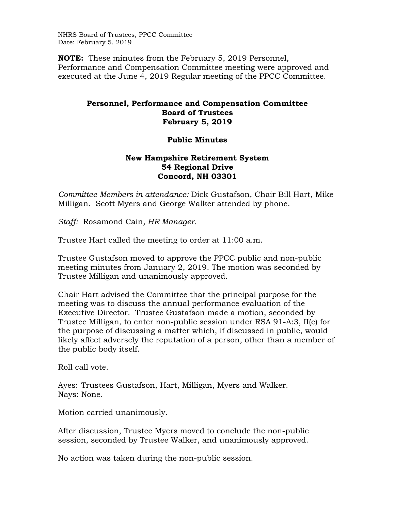NHRS Board of Trustees, PPCC Committee Date: February 5. 2019

**NOTE:** These minutes from the February 5, 2019 Personnel, Performance and Compensation Committee meeting were approved and executed at the June 4, 2019 Regular meeting of the PPCC Committee.

## **Personnel, Performance and Compensation Committee Board of Trustees February 5, 2019**

## **Public Minutes**

## **New Hampshire Retirement System 54 Regional Drive Concord, NH 03301**

*Committee Members in attendance:* Dick Gustafson, Chair Bill Hart, Mike Milligan. Scott Myers and George Walker attended by phone.

*Staff:* Rosamond Cain*, HR Manager.* 

Trustee Hart called the meeting to order at 11:00 a.m.

Trustee Gustafson moved to approve the PPCC public and non-public meeting minutes from January 2, 2019. The motion was seconded by Trustee Milligan and unanimously approved.

Chair Hart advised the Committee that the principal purpose for the meeting was to discuss the annual performance evaluation of the Executive Director. Trustee Gustafson made a motion, seconded by Trustee Milligan, to enter non-public session under RSA 91-A:3, II(c) for the purpose of discussing a matter which, if discussed in public, would likely affect adversely the reputation of a person, other than a member of the public body itself.

Roll call vote.

Ayes: Trustees Gustafson, Hart, Milligan, Myers and Walker. Nays: None.

Motion carried unanimously.

After discussion, Trustee Myers moved to conclude the non-public session, seconded by Trustee Walker, and unanimously approved.

No action was taken during the non-public session.